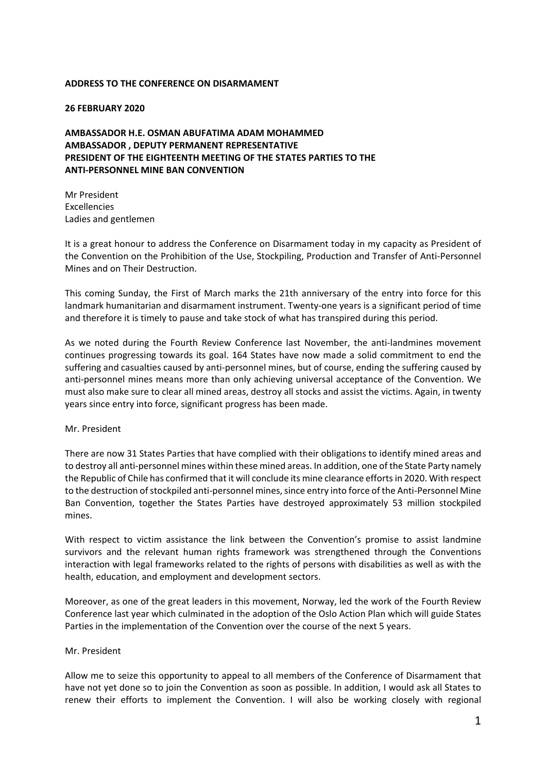## **ADDRESS TO THE CONFERENCE ON DISARMAMENT**

## **26 FEBRUARY 2020**

**AMBASSADOR H.E. OSMAN ABUFATIMA ADAM MOHAMMED AMBASSADOR , DEPUTY PERMANENT REPRESENTATIVE PRESIDENT OF THE EIGHTEENTH MEETING OF THE STATES PARTIES TO THE ANTI‐PERSONNEL MINE BAN CONVENTION**

Mr President Excellencies Ladies and gentlemen

It is a great honour to address the Conference on Disarmament today in my capacity as President of the Convention on the Prohibition of the Use, Stockpiling, Production and Transfer of Anti-Personnel Mines and on Their Destruction.

This coming Sunday, the First of March marks the 21th anniversary of the entry into force for this landmark humanitarian and disarmament instrument. Twenty‐one years is a significant period of time and therefore it is timely to pause and take stock of what has transpired during this period.

As we noted during the Fourth Review Conference last November, the anti‐landmines movement continues progressing towards its goal. 164 States have now made a solid commitment to end the suffering and casualties caused by anti‐personnel mines, but of course, ending the suffering caused by anti-personnel mines means more than only achieving universal acceptance of the Convention. We must also make sure to clear all mined areas, destroy all stocks and assist the victims. Again, in twenty years since entry into force, significant progress has been made.

## Mr. President

There are now 31 States Parties that have complied with their obligations to identify mined areas and to destroy all anti-personnel mines within these mined areas. In addition, one of the State Party namely the Republic of Chile has confirmed that it will conclude its mine clearance effortsin 2020. With respect to the destruction of stockpiled anti-personnel mines, since entry into force of the Anti-Personnel Mine Ban Convention, together the States Parties have destroyed approximately 53 million stockpiled mines.

With respect to victim assistance the link between the Convention's promise to assist landmine survivors and the relevant human rights framework was strengthened through the Conventions interaction with legal frameworks related to the rights of persons with disabilities as well as with the health, education, and employment and development sectors.

Moreover, as one of the great leaders in this movement, Norway, led the work of the Fourth Review Conference last year which culminated in the adoption of the Oslo Action Plan which will guide States Parties in the implementation of the Convention over the course of the next 5 years.

## Mr. President

Allow me to seize this opportunity to appeal to all members of the Conference of Disarmament that have not yet done so to join the Convention as soon as possible. In addition, I would ask all States to renew their efforts to implement the Convention. I will also be working closely with regional